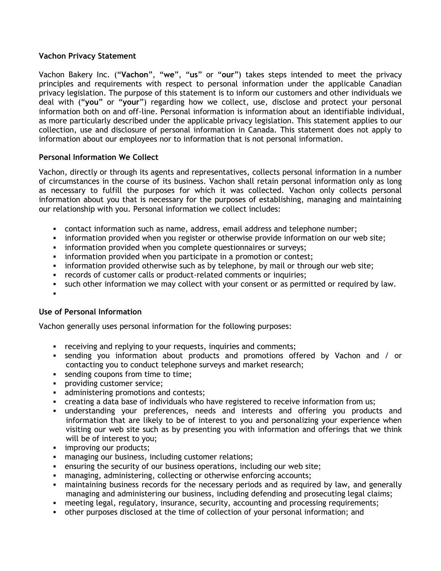## **Vachon Privacy Statement**

Vachon Bakery Inc. ("**Vachon**", "**we**", "**us**" or "**our**") takes steps intended to meet the privacy principles and requirements with respect to personal information under the applicable Canadian privacy legislation. The purpose of this statement is to inform our customers and other individuals we deal with ("**you**" or "**your**") regarding how we collect, use, disclose and protect your personal information both on and off-line. Personal information is information about an identifiable individual, as more particularly described under the applicable privacy legislation. This statement applies to our collection, use and disclosure of personal information in Canada. This statement does not apply to information about our employees nor to information that is not personal information.

# **Personal Information We Collect**

Vachon, directly or through its agents and representatives, collects personal information in a number of circumstances in the course of its business. Vachon shall retain personal information only as long as necessary to fulfill the purposes for which it was collected. Vachon only collects personal information about you that is necessary for the purposes of establishing, managing and maintaining our relationship with you. Personal information we collect includes:

- contact information such as name, address, email address and telephone number;
- **information provided when you register or otherwise provide information on our web site;**
- information provided when you complete questionnaires or surveys;
- **EXED** information provided when you participate in a promotion or contest;
- information provided otherwise such as by telephone, by mail or through our web site;
- records of customer calls or product-related comments or inquiries;
- **such other information we may collect with your consent or as permitted or required by law.**
- :

## **Use of Personal Information**

Vachon generally uses personal information for the following purposes:

- **•** receiving and replying to your requests, inquiries and comments;
- sending you information about products and promotions offered by Vachon and / or contacting you to conduct telephone surveys and market research;
- sending coupons from time to time;
- providing customer service;
- **administering promotions and contests;**
- creating a data base of individuals who have registered to receive information from us;
- understanding your preferences, needs and interests and offering you products and information that are likely to be of interest to you and personalizing your experience when visiting our web site such as by presenting you with information and offerings that we think will be of interest to you;
- **improving our products;**
- managing our business, including customer relations;
- ensuring the security of our business operations, including our web site;
- managing, administering, collecting or otherwise enforcing accounts;
- maintaining business records for the necessary periods and as required by law, and generally managing and administering our business, including defending and prosecuting legal claims;
- meeting legal, regulatory, insurance, security, accounting and processing requirements;
- other purposes disclosed at the time of collection of your personal information; and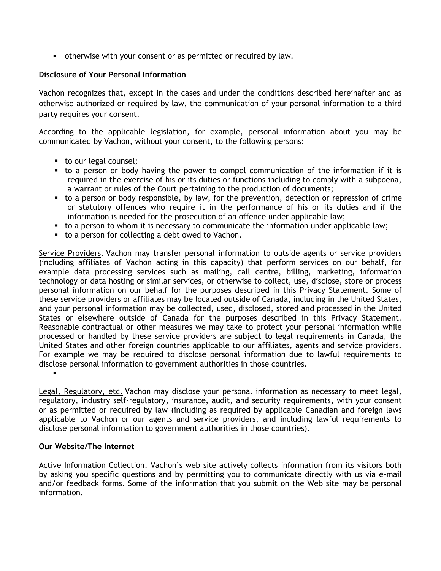otherwise with your consent or as permitted or required by law.

## **Disclosure of Your Personal Information**

Vachon recognizes that, except in the cases and under the conditions described hereinafter and as otherwise authorized or required by law, the communication of your personal information to a third party requires your consent.

According to the applicable legislation, for example, personal information about you may be communicated by Vachon, without your consent, to the following persons:

- to our legal counsel;
- to a person or body having the power to compel communication of the information if it is required in the exercise of his or its duties or functions including to comply with a subpoena, a warrant or rules of the Court pertaining to the production of documents;
- to a person or body responsible, by law, for the prevention, detection or repression of crime or statutory offences who require it in the performance of his or its duties and if the information is needed for the prosecution of an offence under applicable law;
- to a person to whom it is necessary to communicate the information under applicable law;
- to a person for collecting a debt owed to Vachon.

Service Providers. Vachon may transfer personal information to outside agents or service providers (including affiliates of Vachon acting in this capacity) that perform services on our behalf, for example data processing services such as mailing, call centre, billing, marketing, information technology or data hosting or similar services, or otherwise to collect, use, disclose, store or process personal information on our behalf for the purposes described in this Privacy Statement. Some of these service providers or affiliates may be located outside of Canada, including in the United States, and your personal information may be collected, used, disclosed, stored and processed in the United States or elsewhere outside of Canada for the purposes described in this Privacy Statement. Reasonable contractual or other measures we may take to protect your personal information while processed or handled by these service providers are subject to legal requirements in Canada, the United States and other foreign countries applicable to our affiliates, agents and service providers. For example we may be required to disclose personal information due to lawful requirements to disclose personal information to government authorities in those countries.

Legal, Regulatory, etc. Vachon may disclose your personal information as necessary to meet legal, regulatory, industry self-regulatory, insurance, audit, and security requirements, with your consent or as permitted or required by law (including as required by applicable Canadian and foreign laws applicable to Vachon or our agents and service providers, and including lawful requirements to disclose personal information to government authorities in those countries).

## **Our Website/The Internet**

.

Active Information Collection. Vachon's web site actively collects information from its visitors both by asking you specific questions and by permitting you to communicate directly with us via e-mail and/or feedback forms. Some of the information that you submit on the Web site may be personal information.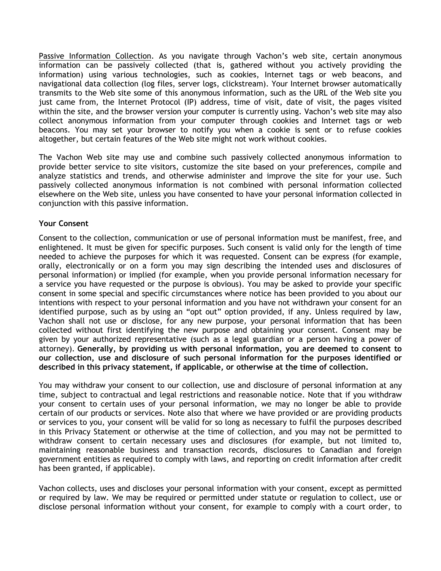Passive Information Collection. As you navigate through Vachon's web site, certain anonymous information can be passively collected (that is, gathered without you actively providing the information) using various technologies, such as cookies, Internet tags or web beacons, and navigational data collection (log files, server logs, clickstream). Your Internet browser automatically transmits to the Web site some of this anonymous information, such as the URL of the Web site you just came from, the Internet Protocol (IP) address, time of visit, date of visit, the pages visited within the site, and the browser version your computer is currently using. Vachon's web site may also collect anonymous information from your computer through cookies and Internet tags or web beacons. You may set your browser to notify you when a cookie is sent or to refuse cookies altogether, but certain features of the Web site might not work without cookies.

The Vachon Web site may use and combine such passively collected anonymous information to provide better service to site visitors, customize the site based on your preferences, compile and analyze statistics and trends, and otherwise administer and improve the site for your use. Such passively collected anonymous information is not combined with personal information collected elsewhere on the Web site, unless you have consented to have your personal information collected in conjunction with this passive information.

## **Your Consent**

Consent to the collection, communication or use of personal information must be manifest, free, and enlightened. It must be given for specific purposes. Such consent is valid only for the length of time needed to achieve the purposes for which it was requested. Consent can be express (for example, orally, electronically or on a form you may sign describing the intended uses and disclosures of personal information) or implied (for example, when you provide personal information necessary for a service you have requested or the purpose is obvious). You may be asked to provide your specific consent in some special and specific circumstances where notice has been provided to you about our intentions with respect to your personal information and you have not withdrawn your consent for an identified purpose, such as by using an "opt out" option provided, if any. Unless required by law, Vachon shall not use or disclose, for any new purpose, your personal information that has been collected without first identifying the new purpose and obtaining your consent. Consent may be given by your authorized representative (such as a legal guardian or a person having a power of attorney). **Generally, by providing us with personal information, you are deemed to consent to our collection, use and disclosure of such personal information for the purposes identified or described in this privacy statement, if applicable, or otherwise at the time of collection.**

You may withdraw your consent to our collection, use and disclosure of personal information at any time, subject to contractual and legal restrictions and reasonable notice. Note that if you withdraw your consent to certain uses of your personal information, we may no longer be able to provide certain of our products or services. Note also that where we have provided or are providing products or services to you, your consent will be valid for so long as necessary to fulfil the purposes described in this Privacy Statement or otherwise at the time of collection, and you may not be permitted to withdraw consent to certain necessary uses and disclosures (for example, but not limited to, maintaining reasonable business and transaction records, disclosures to Canadian and foreign government entities as required to comply with laws, and reporting on credit information after credit has been granted, if applicable).

Vachon collects, uses and discloses your personal information with your consent, except as permitted or required by law. We may be required or permitted under statute or regulation to collect, use or disclose personal information without your consent, for example to comply with a court order, to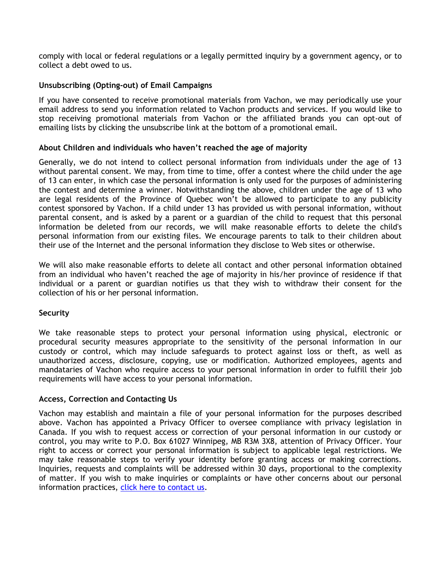comply with local or federal regulations or a legally permitted inquiry by a government agency, or to collect a debt owed to us.

## **Unsubscribing (Opting-out) of Email Campaigns**

If you have consented to receive promotional materials from Vachon, we may periodically use your email address to send you information related to Vachon products and services. If you would like to stop receiving promotional materials from Vachon or the affiliated brands you can opt-out of emailing lists by clicking the unsubscribe link at the bottom of a promotional email.

## **About Children and individuals who haven't reached the age of majority**

Generally, we do not intend to collect personal information from individuals under the age of 13 without parental consent. We may, from time to time, offer a contest where the child under the age of 13 can enter, in which case the personal information is only used for the purposes of administering the contest and determine a winner. Notwithstanding the above, children under the age of 13 who are legal residents of the Province of Quebec won't be allowed to participate to any publicity contest sponsored by Vachon. If a child under 13 has provided us with personal information, without parental consent, and is asked by a parent or a guardian of the child to request that this personal information be deleted from our records, we will make reasonable efforts to delete the child's personal information from our existing files. We encourage parents to talk to their children about their use of the Internet and the personal information they disclose to Web sites or otherwise.

We will also make reasonable efforts to delete all contact and other personal information obtained from an individual who haven't reached the age of majority in his/her province of residence if that individual or a parent or guardian notifies us that they wish to withdraw their consent for the collection of his or her personal information.

## **Security**

We take reasonable steps to protect your personal information using physical, electronic or procedural security measures appropriate to the sensitivity of the personal information in our custody or control, which may include safeguards to protect against loss or theft, as well as unauthorized access, disclosure, copying, use or modification. Authorized employees, agents and mandataries of Vachon who require access to your personal information in order to fulfill their job requirements will have access to your personal information.

## **Access, Correction and Contacting Us**

Vachon may establish and maintain a file of your personal information for the purposes described above. Vachon has appointed a Privacy Officer to oversee compliance with privacy legislation in Canada. If you wish to request access or correction of your personal information in our custody or control, you may write to P.O. Box 61027 Winnipeg, MB R3M 3X8, attention of Privacy Officer. Your right to access or correct your personal information is subject to applicable legal restrictions. We may take reasonable steps to verify your identity before granting access or making corrections. Inquiries, requests and complaints will be addressed within 30 days, proportional to the complexity of matter. If you wish to make inquiries or complaints or have other concerns about our personal information practices, click here to [contact](http://www.vachon.com/en/contact-us/) us.